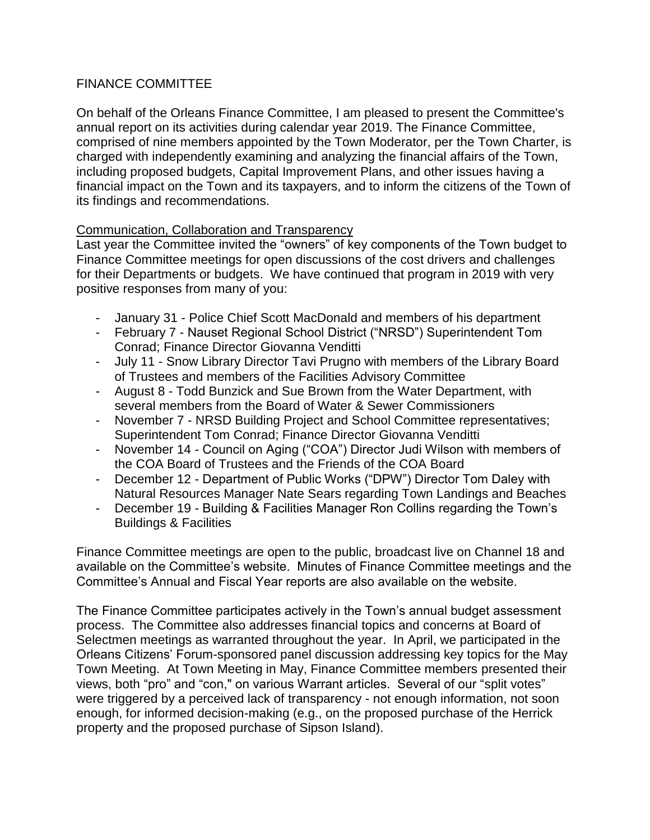## FINANCE COMMITTEE

On behalf of the Orleans Finance Committee, I am pleased to present the Committee's annual report on its activities during calendar year 2019. The Finance Committee, comprised of nine members appointed by the Town Moderator, per the Town Charter, is charged with independently examining and analyzing the financial affairs of the Town, including proposed budgets, Capital Improvement Plans, and other issues having a financial impact on the Town and its taxpayers, and to inform the citizens of the Town of its findings and recommendations.

## Communication, Collaboration and Transparency

Last year the Committee invited the "owners" of key components of the Town budget to Finance Committee meetings for open discussions of the cost drivers and challenges for their Departments or budgets. We have continued that program in 2019 with very positive responses from many of you:

- January 31 Police Chief Scott MacDonald and members of his department
- February 7 Nauset Regional School District ("NRSD") Superintendent Tom Conrad; Finance Director Giovanna Venditti
- July 11 Snow Library Director Tavi Prugno with members of the Library Board of Trustees and members of the Facilities Advisory Committee
- August 8 Todd Bunzick and Sue Brown from the Water Department, with several members from the Board of Water & Sewer Commissioners
- November 7 NRSD Building Project and School Committee representatives; Superintendent Tom Conrad; Finance Director Giovanna Venditti
- November 14 Council on Aging ("COA") Director Judi Wilson with members of the COA Board of Trustees and the Friends of the COA Board
- December 12 Department of Public Works ("DPW") Director Tom Daley with Natural Resources Manager Nate Sears regarding Town Landings and Beaches
- December 19 Building & Facilities Manager Ron Collins regarding the Town's Buildings & Facilities

Finance Committee meetings are open to the public, broadcast live on Channel 18 and available on the Committee's website. Minutes of Finance Committee meetings and the Committee's Annual and Fiscal Year reports are also available on the website.

The Finance Committee participates actively in the Town's annual budget assessment process. The Committee also addresses financial topics and concerns at Board of Selectmen meetings as warranted throughout the year. In April, we participated in the Orleans Citizens' Forum-sponsored panel discussion addressing key topics for the May Town Meeting. At Town Meeting in May, Finance Committee members presented their views, both "pro" and "con," on various Warrant articles. Several of our "split votes" were triggered by a perceived lack of transparency - not enough information, not soon enough, for informed decision-making (e.g., on the proposed purchase of the Herrick property and the proposed purchase of Sipson Island).